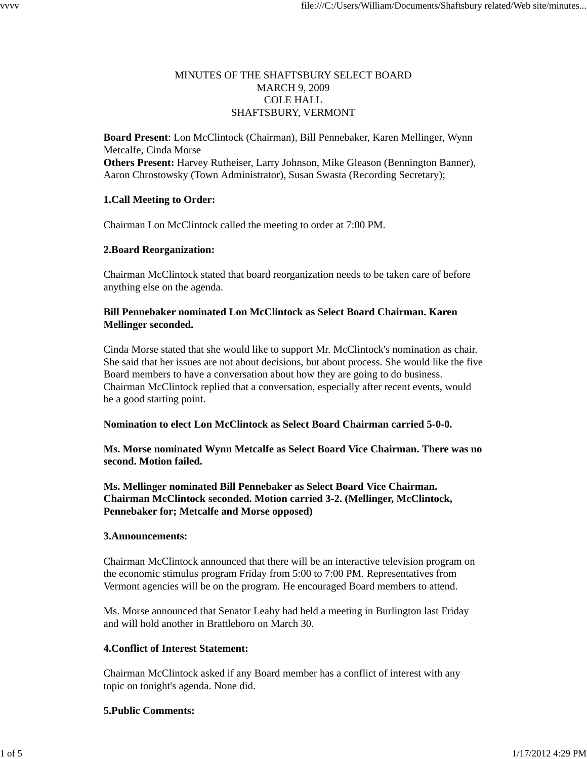# MINUTES OF THE SHAFTSBURY SELECT BOARD MARCH 9, 2009 COLE HALL SHAFTSBURY, VERMONT

**Board Present**: Lon McClintock (Chairman), Bill Pennebaker, Karen Mellinger, Wynn Metcalfe, Cinda Morse **Others Present:** Harvey Rutheiser, Larry Johnson, Mike Gleason (Bennington Banner), Aaron Chrostowsky (Town Administrator), Susan Swasta (Recording Secretary);

# **1.Call Meeting to Order:**

Chairman Lon McClintock called the meeting to order at 7:00 PM.

## **2.Board Reorganization:**

Chairman McClintock stated that board reorganization needs to be taken care of before anything else on the agenda.

## **Bill Pennebaker nominated Lon McClintock as Select Board Chairman. Karen Mellinger seconded.**

Cinda Morse stated that she would like to support Mr. McClintock's nomination as chair. She said that her issues are not about decisions, but about process. She would like the five Board members to have a conversation about how they are going to do business. Chairman McClintock replied that a conversation, especially after recent events, would be a good starting point.

## **Nomination to elect Lon McClintock as Select Board Chairman carried 5-0-0.**

**Ms. Morse nominated Wynn Metcalfe as Select Board Vice Chairman. There was no second. Motion failed.**

**Ms. Mellinger nominated Bill Pennebaker as Select Board Vice Chairman. Chairman McClintock seconded. Motion carried 3-2. (Mellinger, McClintock, Pennebaker for; Metcalfe and Morse opposed)**

## **3.Announcements:**

Chairman McClintock announced that there will be an interactive television program on the economic stimulus program Friday from 5:00 to 7:00 PM. Representatives from Vermont agencies will be on the program. He encouraged Board members to attend.

Ms. Morse announced that Senator Leahy had held a meeting in Burlington last Friday and will hold another in Brattleboro on March 30.

## **4.Conflict of Interest Statement:**

Chairman McClintock asked if any Board member has a conflict of interest with any topic on tonight's agenda. None did.

## **5.Public Comments:**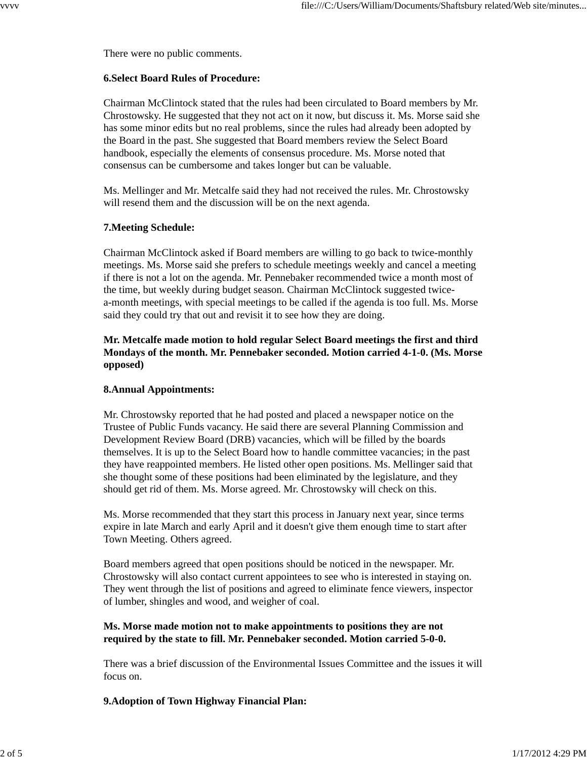There were no public comments.

#### **6.Select Board Rules of Procedure:**

Chairman McClintock stated that the rules had been circulated to Board members by Mr. Chrostowsky. He suggested that they not act on it now, but discuss it. Ms. Morse said she has some minor edits but no real problems, since the rules had already been adopted by the Board in the past. She suggested that Board members review the Select Board handbook, especially the elements of consensus procedure. Ms. Morse noted that consensus can be cumbersome and takes longer but can be valuable.

Ms. Mellinger and Mr. Metcalfe said they had not received the rules. Mr. Chrostowsky will resend them and the discussion will be on the next agenda.

#### **7.Meeting Schedule:**

Chairman McClintock asked if Board members are willing to go back to twice-monthly meetings. Ms. Morse said she prefers to schedule meetings weekly and cancel a meeting if there is not a lot on the agenda. Mr. Pennebaker recommended twice a month most of the time, but weekly during budget season. Chairman McClintock suggested twicea-month meetings, with special meetings to be called if the agenda is too full. Ms. Morse said they could try that out and revisit it to see how they are doing.

## **Mr. Metcalfe made motion to hold regular Select Board meetings the first and third Mondays of the month. Mr. Pennebaker seconded. Motion carried 4-1-0. (Ms. Morse opposed)**

## **8.Annual Appointments:**

Mr. Chrostowsky reported that he had posted and placed a newspaper notice on the Trustee of Public Funds vacancy. He said there are several Planning Commission and Development Review Board (DRB) vacancies, which will be filled by the boards themselves. It is up to the Select Board how to handle committee vacancies; in the past they have reappointed members. He listed other open positions. Ms. Mellinger said that she thought some of these positions had been eliminated by the legislature, and they should get rid of them. Ms. Morse agreed. Mr. Chrostowsky will check on this.

Ms. Morse recommended that they start this process in January next year, since terms expire in late March and early April and it doesn't give them enough time to start after Town Meeting. Others agreed.

Board members agreed that open positions should be noticed in the newspaper. Mr. Chrostowsky will also contact current appointees to see who is interested in staying on. They went through the list of positions and agreed to eliminate fence viewers, inspector of lumber, shingles and wood, and weigher of coal.

## **Ms. Morse made motion not to make appointments to positions they are not required by the state to fill. Mr. Pennebaker seconded. Motion carried 5-0-0.**

There was a brief discussion of the Environmental Issues Committee and the issues it will focus on.

## **9.Adoption of Town Highway Financial Plan:**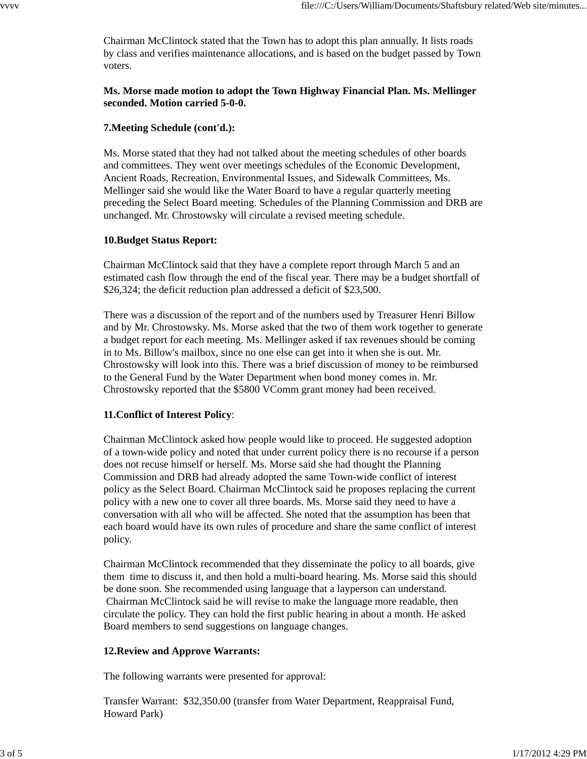Chairman McClintock stated that the Town has to adopt this plan annually. It lists roads by class and verifies maintenance allocations, and is based on the budget passed by Town voters.

# **Ms. Morse made motion to adopt the Town Highway Financial Plan. Ms. Mellinger seconded. Motion carried 5-0-0.**

## **7.Meeting Schedule (cont'd.):**

Ms. Morse stated that they had not talked about the meeting schedules of other boards and committees. They went over meetings schedules of the Economic Development, Ancient Roads, Recreation, Environmental Issues, and Sidewalk Committees, Ms. Mellinger said she would like the Water Board to have a regular quarterly meeting preceding the Select Board meeting. Schedules of the Planning Commission and DRB are unchanged. Mr. Chrostowsky will circulate a revised meeting schedule.

# **10.Budget Status Report:**

Chairman McClintock said that they have a complete report through March 5 and an estimated cash flow through the end of the fiscal year. There may be a budget shortfall of \$26,324; the deficit reduction plan addressed a deficit of \$23,500.

There was a discussion of the report and of the numbers used by Treasurer Henri Billow and by Mr. Chrostowsky. Ms. Morse asked that the two of them work together to generate a budget report for each meeting. Ms. Mellinger asked if tax revenues should be coming in to Ms. Billow's mailbox, since no one else can get into it when she is out. Mr. Chrostowsky will look into this. There was a brief discussion of money to be reimbursed to the General Fund by the Water Department when bond money comes in. Mr. Chrostowsky reported that the \$5800 VComm grant money had been received.

# **11.Conflict of Interest Policy**:

Chairman McClintock asked how people would like to proceed. He suggested adoption of a town-wide policy and noted that under current policy there is no recourse if a person does not recuse himself or herself. Ms. Morse said she had thought the Planning Commission and DRB had already adopted the same Town-wide conflict of interest policy as the Select Board. Chairman McClintock said he proposes replacing the current policy with a new one to cover all three boards. Ms. Morse said they need to have a conversation with all who will be affected. She noted that the assumption has been that each board would have its own rules of procedure and share the same conflict of interest policy.

Chairman McClintock recommended that they disseminate the policy to all boards, give them time to discuss it, and then hold a multi-board hearing. Ms. Morse said this should be done soon. She recommended using language that a layperson can understand. Chairman McClintock said he will revise to make the language more readable, then circulate the policy. They can hold the first public hearing in about a month. He asked Board members to send suggestions on language changes.

# **12.Review and Approve Warrants:**

The following warrants were presented for approval:

Transfer Warrant: \$32,350.00 (transfer from Water Department, Reappraisal Fund, Howard Park)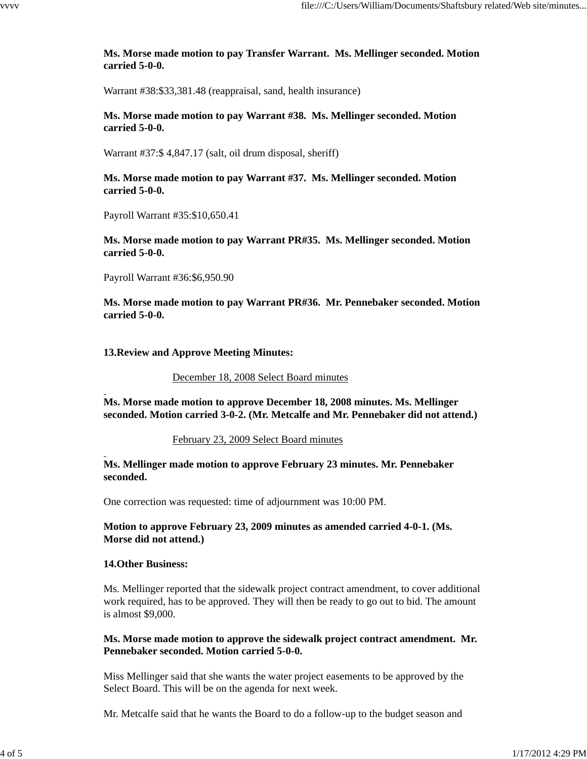## **Ms. Morse made motion to pay Transfer Warrant. Ms. Mellinger seconded. Motion carried 5-0-0.**

Warrant #38:\$33,381.48 (reappraisal, sand, health insurance)

#### **Ms. Morse made motion to pay Warrant #38. Ms. Mellinger seconded. Motion carried 5-0-0.**

Warrant #37:\$ 4,847.17 (salt, oil drum disposal, sheriff)

## **Ms. Morse made motion to pay Warrant #37. Ms. Mellinger seconded. Motion carried 5-0-0.**

Payroll Warrant #35:\$10,650.41

**Ms. Morse made motion to pay Warrant PR#35. Ms. Mellinger seconded. Motion carried 5-0-0.**

Payroll Warrant #36:\$6,950.90

**Ms. Morse made motion to pay Warrant PR#36. Mr. Pennebaker seconded. Motion carried 5-0-0.**

#### **13.Review and Approve Meeting Minutes:**

#### December 18, 2008 Select Board minutes

**Ms. Morse made motion to approve December 18, 2008 minutes. Ms. Mellinger seconded. Motion carried 3-0-2. (Mr. Metcalfe and Mr. Pennebaker did not attend.)**

#### February 23, 2009 Select Board minutes

## **Ms. Mellinger made motion to approve February 23 minutes. Mr. Pennebaker seconded.**

One correction was requested: time of adjournment was 10:00 PM.

## **Motion to approve February 23, 2009 minutes as amended carried 4-0-1. (Ms. Morse did not attend.)**

#### **14.Other Business:**

Ms. Mellinger reported that the sidewalk project contract amendment, to cover additional work required, has to be approved. They will then be ready to go out to bid. The amount is almost \$9,000.

#### **Ms. Morse made motion to approve the sidewalk project contract amendment. Mr. Pennebaker seconded. Motion carried 5-0-0.**

Miss Mellinger said that she wants the water project easements to be approved by the Select Board. This will be on the agenda for next week.

Mr. Metcalfe said that he wants the Board to do a follow-up to the budget season and